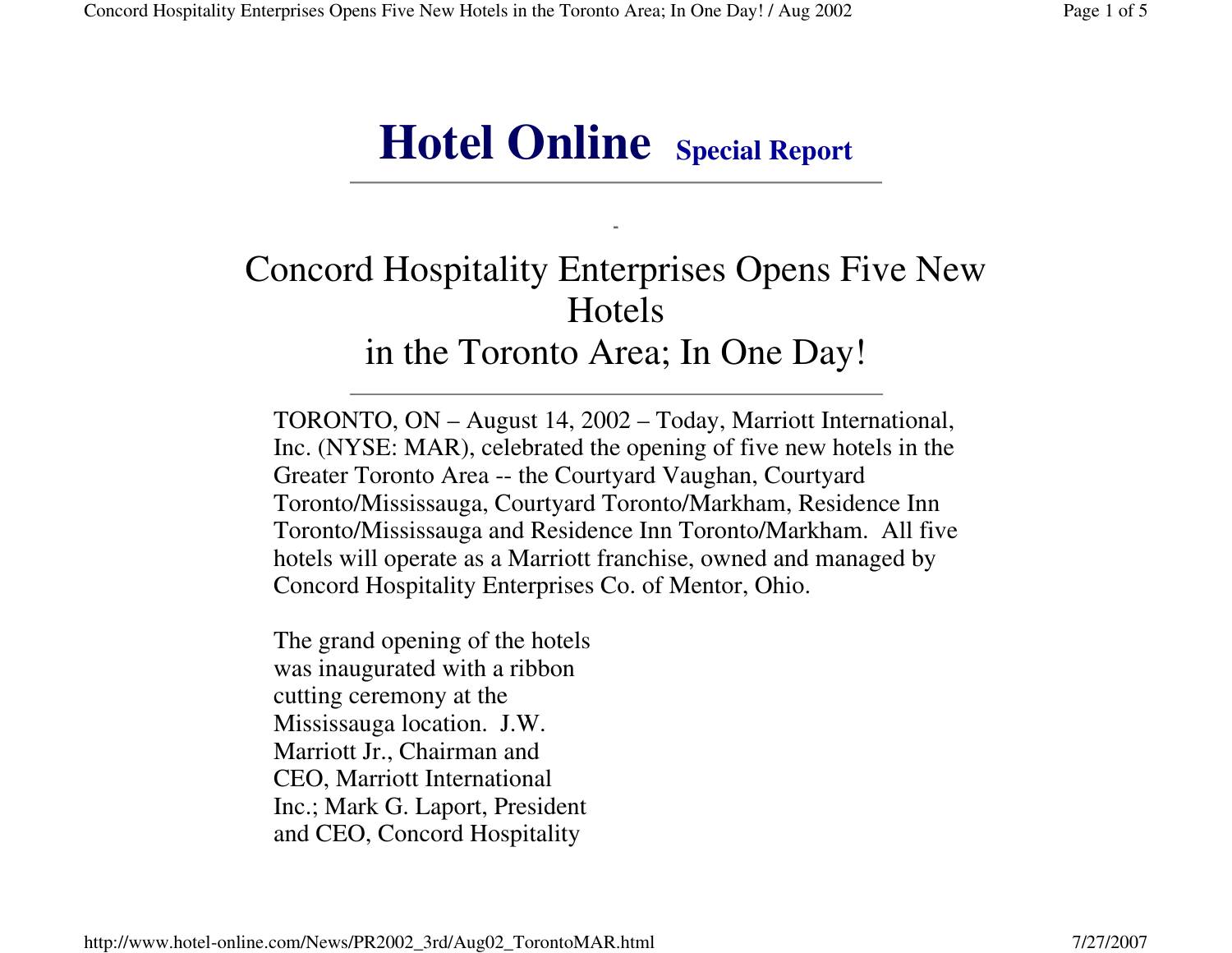# **Hotel Online Special Report**

## Concord Hospitality Enterprises Opens Five New Hotelsin the Toronto Area; In One Day!

TORONTO, ON – August 14, 2002 – Today, Marriott International, Inc. (NYSE: MAR), celebrated the opening of five new hotels in the Greater Toronto Area -- the Courtyard Vaughan, Courtyard Toronto/Mississauga, Courtyard Toronto/Markham, Residence Inn Toronto/Mississauga and Residence Inn Toronto/Markham. All five hotels will operate as a Marriott franchise, owned and managed by Concord Hospitality Enterprises Co. of Mentor, Ohio.

The grand opening of the hotels was inaugurated with a ribbon cutting ceremony at the Mississauga location. J.W. Marriott Jr., Chairman and CEO, Marriott International Inc.; Mark G. Laport, President and CEO, Concord Hospitality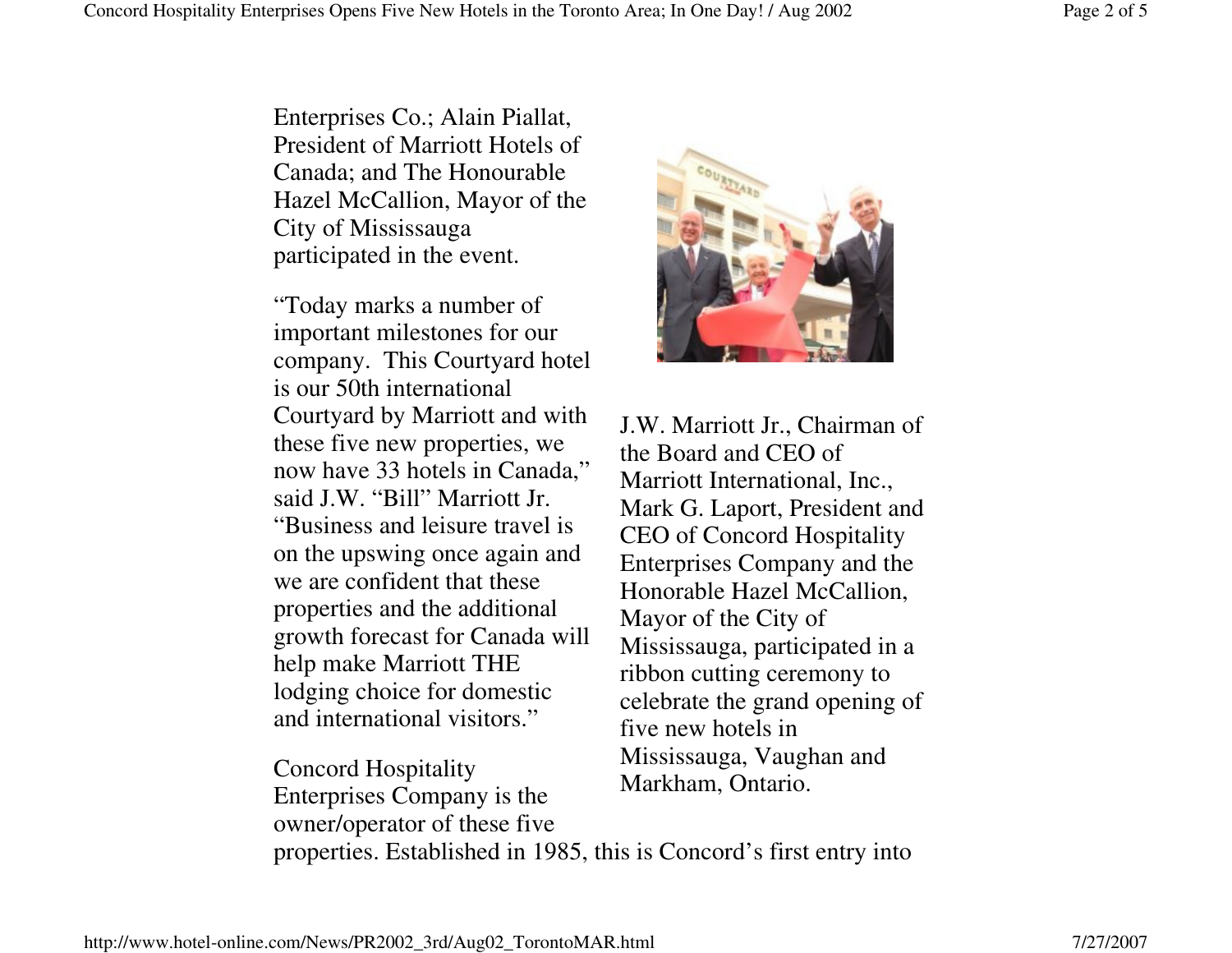Enterprises Co.; Alain Piallat, President of Marriott Hotels of Canada; and The Honourable Hazel McCallion, Mayor of the City of Mississauga participated in the event.

"Today marks a number of important milestones for our company. This Courtyard hotel is our 50th international Courtyard by Marriott and with these five new properties, we now have 33 hotels in Canada,"said J.W. "Bill" Marriott Jr. "Business and leisure travel is on the upswing once again and we are confident that these properties and the additional growth forecast for Canada will help make Marriott THE lodging choice for domestic and international visitors."

properties. Established in 1985, this is Concord's first entry into Concord Hospitality Enterprises Company is the owner/operator of these five Markham, Ontario.

J.W. Marriott Jr., Chairman of the Board and CEO of Marriott International, Inc., Mark G. Laport, President and CEO of Concord Hospitality Enterprises Company and the Honorable Hazel McCallion, Mayor of the City of Mississauga, participated in a ribbon cutting ceremony to celebrate the grand opening of five new hotels in Mississauga, Vaughan and

http://www.hotel-online.com/News/PR2002\_3rd/Aug02\_TorontoMAR.html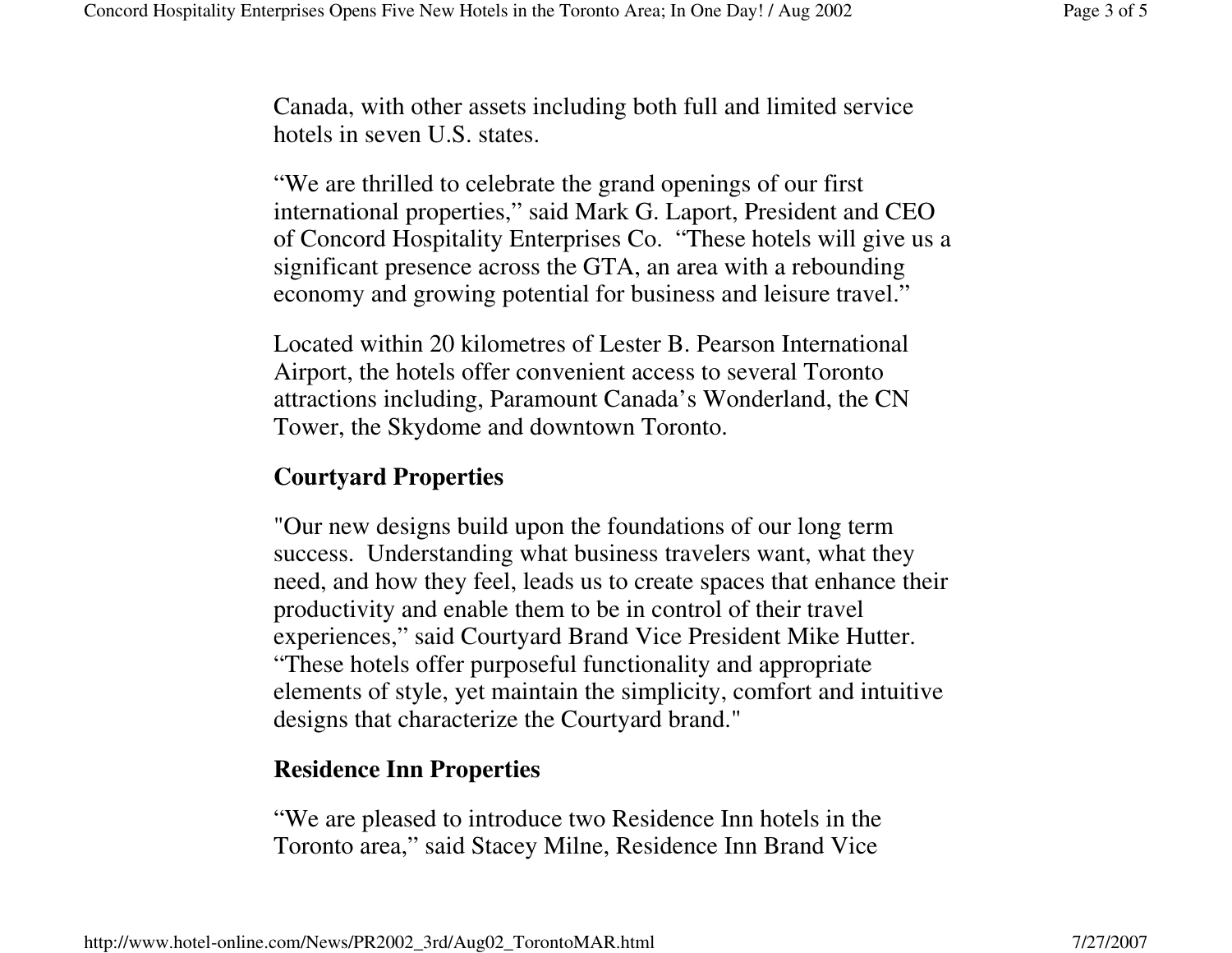Canada, with other assets including both full and limited service hotels in seven U.S. states.

"We are thrilled to celebrate the grand openings of our first international properties," said Mark G. Laport, President and CEO of Concord Hospitality Enterprises Co. "These hotels will give us a significant presence across the GTA, an area with a rebounding economy and growing potential for business and leisure travel."

Located within 20 kilometres of Lester B. Pearson International Airport, the hotels offer convenient access to several Toronto attractions including, Paramount Canada's Wonderland, the CN Tower, the Skydome and downtown Toronto.

### **Courtyard Properties**

"Our new designs build upon the foundations of our long term success. Understanding what business travelers want, what they need, and how they feel, leads us to create spaces that enhance their productivity and enable them to be in control of their travel experiences," said Courtyard Brand Vice President Mike Hutter. "These hotels offer purposeful functionality and appropriate elements of style, yet maintain the simplicity, comfort and intuitive designs that characterize the Courtyard brand."

### **Residence Inn Properties**

"We are pleased to introduce two Residence Inn hotels in the Toronto area," said Stacey Milne, Residence Inn Brand Vice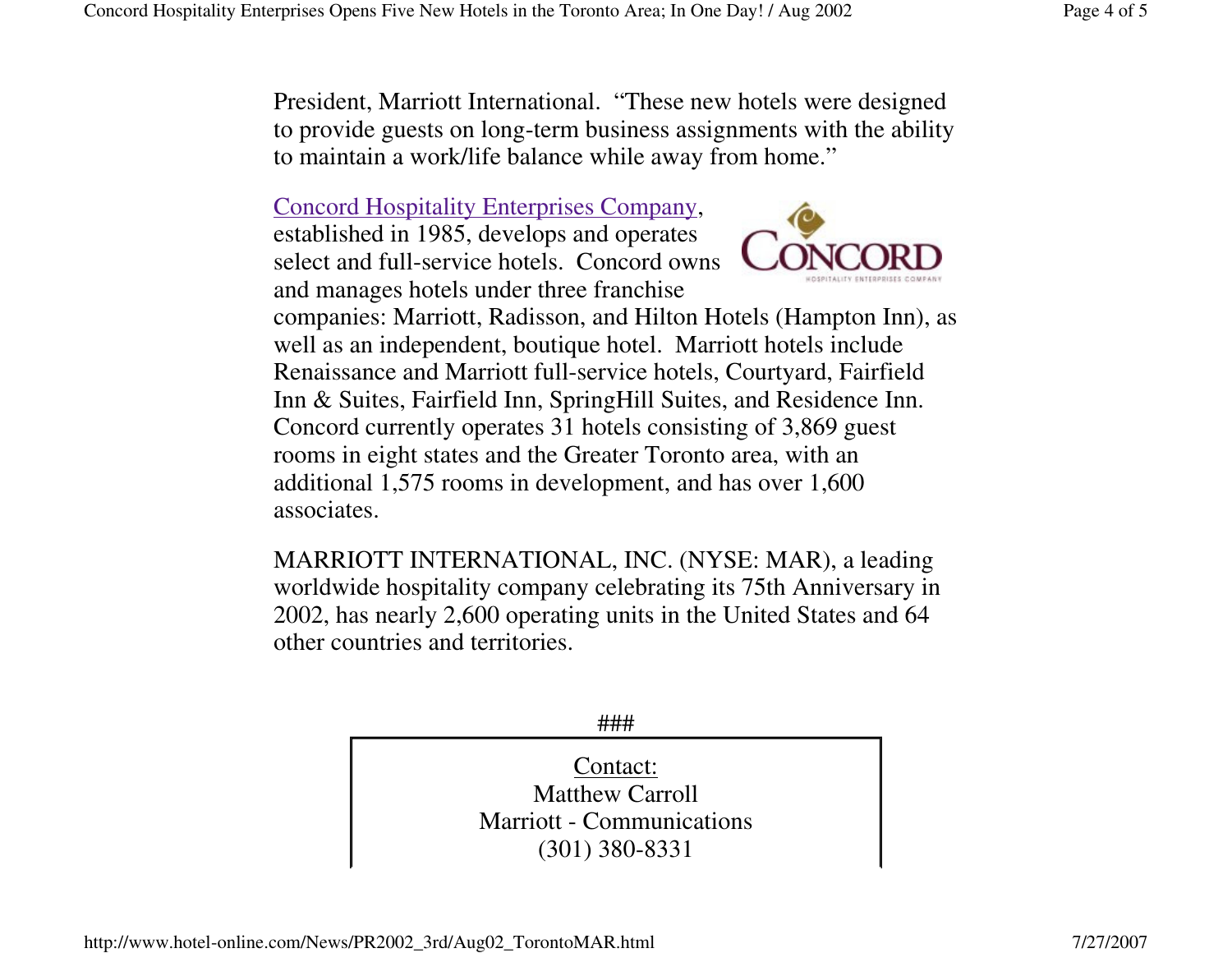President, Marriott International. "These new hotels were designed to provide guests on long-term business assignments with the ability to maintain a work/life balance while away from home."

#### Concord Hospitality Enterprises Company,

established in 1985, develops and operates select and full-service hotels. Concord owns and manages hotels under three franchise



companies: Marriott, Radisson, and Hilton Hotels (Hampton Inn), as well as an independent, boutique hotel. Marriott hotels include Renaissance and Marriott full-service hotels, Courtyard, Fairfield Inn & Suites, Fairfield Inn, SpringHill Suites, and Residence Inn. Concord currently operates 31 hotels consisting of 3,869 guest rooms in eight states and the Greater Toronto area, with an additional 1,575 rooms in development, and has over 1,600 associates.

MARRIOTT INTERNATIONAL, INC. (NYSE: MAR), a leading worldwide hospitality company celebrating its 75th Anniversary in 2002, has nearly 2,600 operating units in the United States and 64 other countries and territories.

###

Contact: Matthew Carroll Marriott - Communications (301) 380-8331